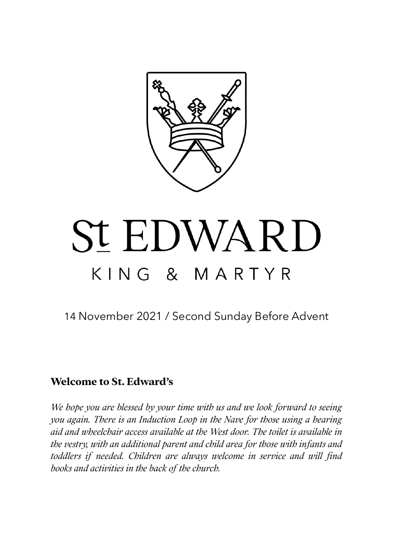

# **St EDWARD** KING & MARTYR

14 November 2021 / Second Sunday Before Advent

## **Welcome to St. Edward's**

*We hope you are blessed by your time with us and we look forward to seeing you again. There is an Induction Loop in the Nave for those using a hearing aid and wheelchair access available at the West door. The toilet is available in the vestry, with an additional parent and child area for those with infants and toddlers if needed. Children are always welcome in service and will find books and activities in the back of the church.*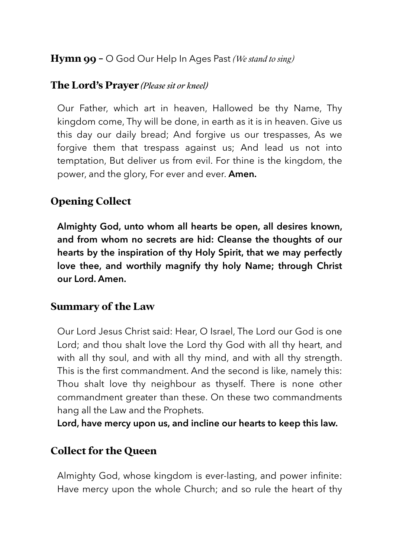## **Hymn 99 -** O God Our Help In Ages Past *(We stand to sing)*

#### **The Lord's Prayer** *(Please sit or kneel)*

Our Father, which art in heaven, Hallowed be thy Name, Thy kingdom come, Thy will be done, in earth as it is in heaven. Give us this day our daily bread; And forgive us our trespasses, As we forgive them that trespass against us; And lead us not into temptation, But deliver us from evil. For thine is the kingdom, the power, and the glory, For ever and ever. **Amen.**

## **Opening Collect**

**Almighty God, unto whom all hearts be open, all desires known, and from whom no secrets are hid: Cleanse the thoughts of our hearts by the inspiration of thy Holy Spirit, that we may perfectly love thee, and worthily magnify thy holy Name; through Christ our Lord. Amen.** 

## **Summary of the Law**

Our Lord Jesus Christ said: Hear, O Israel, The Lord our God is one Lord; and thou shalt love the Lord thy God with all thy heart, and with all thy soul, and with all thy mind, and with all thy strength. This is the first commandment. And the second is like, namely this: Thou shalt love thy neighbour as thyself. There is none other commandment greater than these. On these two commandments hang all the Law and the Prophets.

**Lord, have mercy upon us, and incline our hearts to keep this law.**

# **Collect for the Queen**

Almighty God, whose kingdom is ever-lasting, and power infinite: Have mercy upon the whole Church; and so rule the heart of thy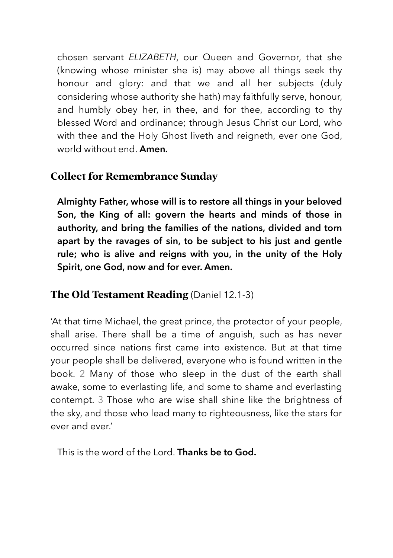chosen servant *ELIZABETH*, our Queen and Governor, that she (knowing whose minister she is) may above all things seek thy honour and glory: and that we and all her subjects (duly considering whose authority she hath) may faithfully serve, honour, and humbly obey her, in thee, and for thee, according to thy blessed Word and ordinance; through Jesus Christ our Lord, who with thee and the Holy Ghost liveth and reigneth, ever one God, world without end. **Amen.**

# **Collect for Remembrance Sunday**

**Almighty Father, whose will is to restore all things in your beloved Son, the King of all: govern the hearts and minds of those in authority, and bring the families of the nations, divided and torn apart by the ravages of sin, to be subject to his just and gentle rule; who is alive and reigns with you, in the unity of the Holy Spirit, one God, now and for ever. Amen.** 

# **The Old Testament Reading** (Daniel 12.1-3)

'At that time Michael, the great prince, the protector of your people, shall arise. There shall be a time of anguish, such as has never occurred since nations first came into existence. But at that time your people shall be delivered, everyone who is found written in the book. 2 Many of those who sleep in the dust of the earth shall awake, some to everlasting life, and some to shame and everlasting contempt. 3 Those who are wise shall shine like the brightness of the sky, and those who lead many to righteousness, like the stars for ever and ever.'

This is the word of the Lord. **Thanks be to God.**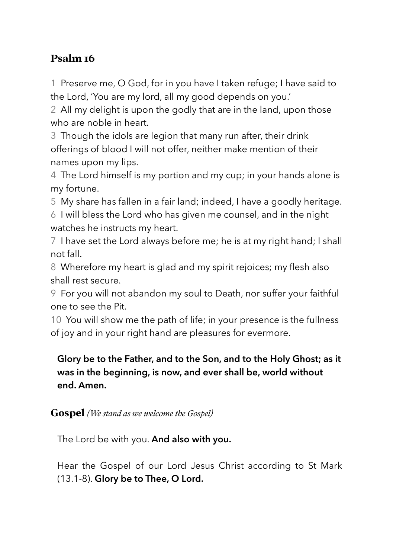# **Psalm 16**

1 Preserve me, O God, for in you have I taken refuge; I have said to the Lord, 'You are my lord, all my good depends on you.'

2 All my delight is upon the godly that are in the land, upon those who are noble in heart.

3 Though the idols are legion that many run after, their drink offerings of blood I will not offer, neither make mention of their names upon my lips.

4 The Lord himself is my portion and my cup; in your hands alone is my fortune.

5 My share has fallen in a fair land; indeed, I have a goodly heritage.

6 I will bless the Lord who has given me counsel, and in the night watches he instructs my heart.

7 I have set the Lord always before me; he is at my right hand; I shall not fall.

8 Wherefore my heart is glad and my spirit rejoices; my flesh also shall rest secure.

9 For you will not abandon my soul to Death, nor suffer your faithful one to see the Pit.

10 You will show me the path of life; in your presence is the fullness of joy and in your right hand are pleasures for evermore.

# **Glory be to the Father, and to the Son, and to the Holy Ghost; as it was in the beginning, is now, and ever shall be, world without end. Amen.**

## **Gospel** *(We stand as we welcome the Gospel)*

The Lord be with you. **And also with you.** 

Hear the Gospel of our Lord Jesus Christ according to St Mark (13.1-8). **Glory be to Thee, O Lord.**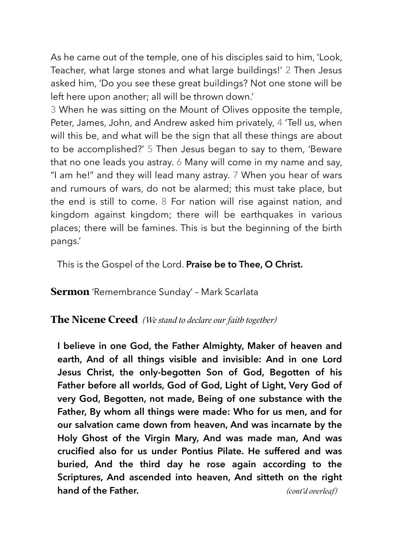As he came out of the temple, one of his disciples said to him, 'Look, Teacher, what large stones and what large buildings!' 2 Then Jesus asked him, 'Do you see these great buildings? Not one stone will be left here upon another; all will be thrown down.'

3 When he was sitting on the Mount of Olives opposite the temple, Peter, James, John, and Andrew asked him privately, 4 'Tell us, when will this be, and what will be the sign that all these things are about to be accomplished?' 5 Then Jesus began to say to them, 'Beware that no one leads you astray. 6 Many will come in my name and say, "I am he!" and they will lead many astray. 7 When you hear of wars and rumours of wars, do not be alarmed; this must take place, but the end is still to come. 8 For nation will rise against nation, and kingdom against kingdom; there will be earthquakes in various places; there will be famines. This is but the beginning of the birth pangs.'

This is the Gospel of the Lord. **Praise be to Thee, O Christ.**

**Sermon** 'Remembrance Sunday' – Mark Scarlata

#### **The Nicene Creed** *(We stand to declare our faith together)*

**I believe in one God, the Father Almighty, Maker of heaven and earth, And of all things visible and invisible: And in one Lord Jesus Christ, the only-begotten Son of God, Begotten of his Father before all worlds, God of God, Light of Light, Very God of very God, Begotten, not made, Being of one substance with the Father, By whom all things were made: Who for us men, and for our salvation came down from heaven, And was incarnate by the Holy Ghost of the Virgin Mary, And was made man, And was crucified also for us under Pontius Pilate. He suffered and was buried, And the third day he rose again according to the Scriptures, And ascended into heaven, And sitteth on the right hand of the Father.** *(cont'd overleaf)*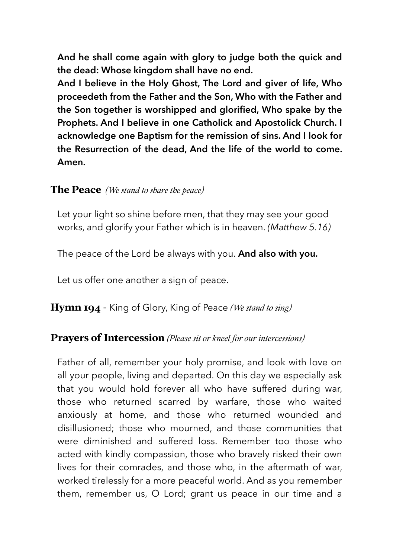**And he shall come again with glory to judge both the quick and the dead: Whose kingdom shall have no end.** 

**And I believe in the Holy Ghost, The Lord and giver of life, Who proceedeth from the Father and the Son, Who with the Father and the Son together is worshipped and glorified, Who spake by the Prophets. And I believe in one Catholick and Apostolick Church. I acknowledge one Baptism for the remission of sins. And I look for the Resurrection of the dead, And the life of the world to come. Amen.** 

#### **The Peace** *(We stand to share the peace)*

Let your light so shine before men, that they may see your good works, and glorify your Father which is in heaven. *(Matthew 5.16)* 

The peace of the Lord be always with you. **And also with you.** 

Let us offer one another a sign of peace.

**Hymn 194** - King of Glory, King of Peace *(We stand to sing)*

#### **Prayers of Intercession** *(Please sit or kneel for our intercessions)*

Father of all, remember your holy promise, and look with love on all your people, living and departed. On this day we especially ask that you would hold forever all who have suffered during war, those who returned scarred by warfare, those who waited anxiously at home, and those who returned wounded and disillusioned; those who mourned, and those communities that were diminished and suffered loss. Remember too those who acted with kindly compassion, those who bravely risked their own lives for their comrades, and those who, in the aftermath of war, worked tirelessly for a more peaceful world. And as you remember them, remember us, O Lord; grant us peace in our time and a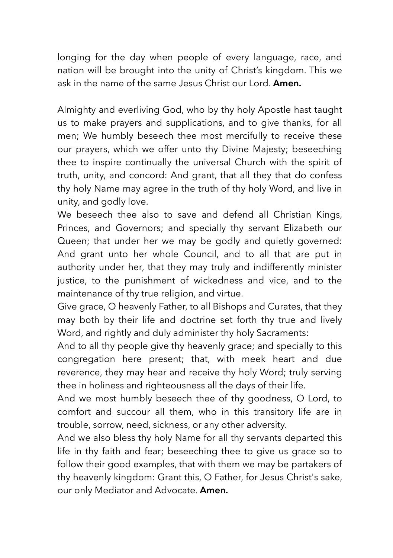longing for the day when people of every language, race, and nation will be brought into the unity of Christ's kingdom. This we ask in the name of the same Jesus Christ our Lord. **Amen.**

Almighty and everliving God, who by thy holy Apostle hast taught us to make prayers and supplications, and to give thanks, for all men; We humbly beseech thee most mercifully to receive these our prayers, which we offer unto thy Divine Majesty; beseeching thee to inspire continually the universal Church with the spirit of truth, unity, and concord: And grant, that all they that do confess thy holy Name may agree in the truth of thy holy Word, and live in unity, and godly love.

We beseech thee also to save and defend all Christian Kings, Princes, and Governors; and specially thy servant Elizabeth our Queen; that under her we may be godly and quietly governed: And grant unto her whole Council, and to all that are put in authority under her, that they may truly and indifferently minister justice, to the punishment of wickedness and vice, and to the maintenance of thy true religion, and virtue.

Give grace, O heavenly Father, to all Bishops and Curates, that they may both by their life and doctrine set forth thy true and lively Word, and rightly and duly administer thy holy Sacraments:

And to all thy people give thy heavenly grace; and specially to this congregation here present; that, with meek heart and due reverence, they may hear and receive thy holy Word; truly serving thee in holiness and righteousness all the days of their life.

And we most humbly beseech thee of thy goodness, O Lord, to comfort and succour all them, who in this transitory life are in trouble, sorrow, need, sickness, or any other adversity.

And we also bless thy holy Name for all thy servants departed this life in thy faith and fear; beseeching thee to give us grace so to follow their good examples, that with them we may be partakers of thy heavenly kingdom: Grant this, O Father, for Jesus Christ's sake, our only Mediator and Advocate. **Amen.**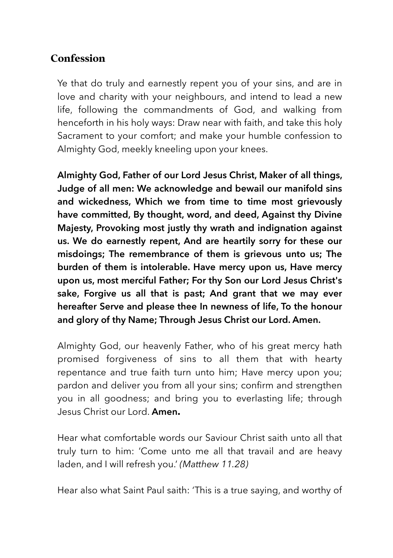# **Confession**

Ye that do truly and earnestly repent you of your sins, and are in love and charity with your neighbours, and intend to lead a new life, following the commandments of God, and walking from henceforth in his holy ways: Draw near with faith, and take this holy Sacrament to your comfort; and make your humble confession to Almighty God, meekly kneeling upon your knees.

**Almighty God, Father of our Lord Jesus Christ, Maker of all things, Judge of all men: We acknowledge and bewail our manifold sins and wickedness, Which we from time to time most grievously have committed, By thought, word, and deed, Against thy Divine Majesty, Provoking most justly thy wrath and indignation against us. We do earnestly repent, And are heartily sorry for these our misdoings; The remembrance of them is grievous unto us; The burden of them is intolerable. Have mercy upon us, Have mercy upon us, most merciful Father; For thy Son our Lord Jesus Christ's sake, Forgive us all that is past; And grant that we may ever hereafter Serve and please thee In newness of life, To the honour and glory of thy Name; Through Jesus Christ our Lord. Amen.** 

Almighty God, our heavenly Father, who of his great mercy hath promised forgiveness of sins to all them that with hearty repentance and true faith turn unto him; Have mercy upon you; pardon and deliver you from all your sins; confirm and strengthen you in all goodness; and bring you to everlasting life; through Jesus Christ our Lord. **Amen.**

Hear what comfortable words our Saviour Christ saith unto all that truly turn to him: 'Come unto me all that travail and are heavy laden, and I will refresh you.' *(Matthew 11.28)*

Hear also what Saint Paul saith: 'This is a true saying, and worthy of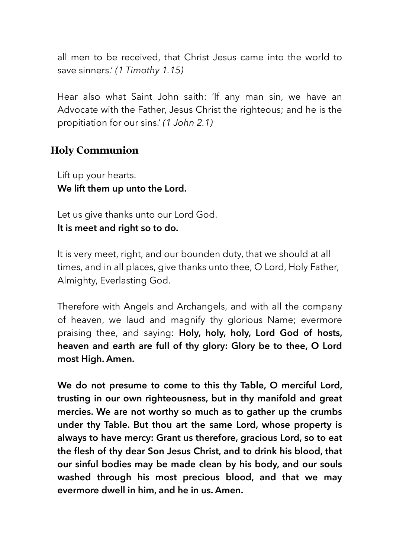all men to be received, that Christ Jesus came into the world to save sinners.' *(1 Timothy 1.15)* 

Hear also what Saint John saith: 'If any man sin, we have an Advocate with the Father, Jesus Christ the righteous; and he is the propitiation for our sins.' *(1 John 2.1)* 

# **Holy Communion**

Lift up your hearts. **We lift them up unto the Lord.** 

Let us give thanks unto our Lord God. **It is meet and right so to do.** 

It is very meet, right, and our bounden duty, that we should at all times, and in all places, give thanks unto thee, O Lord, Holy Father, Almighty, Everlasting God.

Therefore with Angels and Archangels, and with all the company of heaven, we laud and magnify thy glorious Name; evermore praising thee, and saying: **Holy, holy, holy, Lord God of hosts, heaven and earth are full of thy glory: Glory be to thee, O Lord most High. Amen.**

**We do not presume to come to this thy Table, O merciful Lord, trusting in our own righteousness, but in thy manifold and great mercies. We are not worthy so much as to gather up the crumbs under thy Table. But thou art the same Lord, whose property is always to have mercy: Grant us therefore, gracious Lord, so to eat the flesh of thy dear Son Jesus Christ, and to drink his blood, that our sinful bodies may be made clean by his body, and our souls washed through his most precious blood, and that we may evermore dwell in him, and he in us. Amen.**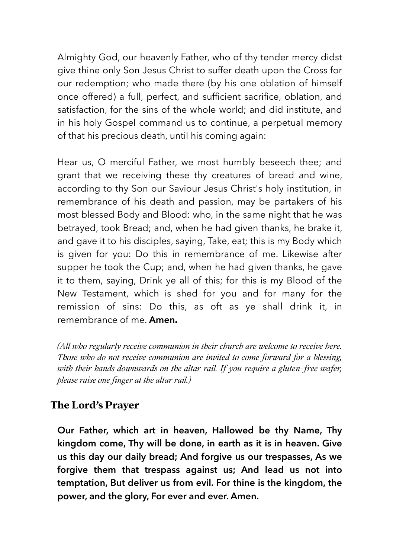Almighty God, our heavenly Father, who of thy tender mercy didst give thine only Son Jesus Christ to suffer death upon the Cross for our redemption; who made there (by his one oblation of himself once offered) a full, perfect, and sufficient sacrifice, oblation, and satisfaction, for the sins of the whole world; and did institute, and in his holy Gospel command us to continue, a perpetual memory of that his precious death, until his coming again:

Hear us, O merciful Father, we most humbly beseech thee; and grant that we receiving these thy creatures of bread and wine, according to thy Son our Saviour Jesus Christ's holy institution, in remembrance of his death and passion, may be partakers of his most blessed Body and Blood: who, in the same night that he was betrayed, took Bread; and, when he had given thanks, he brake it, and gave it to his disciples, saying, Take, eat; this is my Body which is given for you: Do this in remembrance of me. Likewise after supper he took the Cup; and, when he had given thanks, he gave it to them, saying, Drink ye all of this; for this is my Blood of the New Testament, which is shed for you and for many for the remission of sins: Do this, as oft as ye shall drink it, in remembrance of me. **Amen.**

*(All who regularly receive communion in their church are welcome to receive here. Those who do not receive communion are invited to come forward for a blessing, with their hands downwards on the altar rail. If you require a gluten-free wafer, please raise one finger at the altar rail.)*

# **The Lord's Prayer**

**Our Father, which art in heaven, Hallowed be thy Name, Thy kingdom come, Thy will be done, in earth as it is in heaven. Give us this day our daily bread; And forgive us our trespasses, As we forgive them that trespass against us; And lead us not into temptation, But deliver us from evil. For thine is the kingdom, the power, and the glory, For ever and ever. Amen.**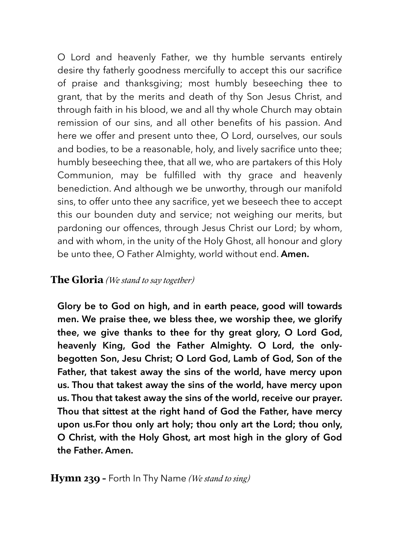O Lord and heavenly Father, we thy humble servants entirely desire thy fatherly goodness mercifully to accept this our sacrifice of praise and thanksgiving; most humbly beseeching thee to grant, that by the merits and death of thy Son Jesus Christ, and through faith in his blood, we and all thy whole Church may obtain remission of our sins, and all other benefits of his passion. And here we offer and present unto thee, O Lord, ourselves, our souls and bodies, to be a reasonable, holy, and lively sacrifice unto thee; humbly beseeching thee, that all we, who are partakers of this Holy Communion, may be fulfilled with thy grace and heavenly benediction. And although we be unworthy, through our manifold sins, to offer unto thee any sacrifice, yet we beseech thee to accept this our bounden duty and service; not weighing our merits, but pardoning our offences, through Jesus Christ our Lord; by whom, and with whom, in the unity of the Holy Ghost, all honour and glory be unto thee, O Father Almighty, world without end. **Amen.** 

#### **The Gloria** *(We stand to say together)*

**Glory be to God on high, and in earth peace, good will towards men. We praise thee, we bless thee, we worship thee, we glorify thee, we give thanks to thee for thy great glory, O Lord God, heavenly King, God the Father Almighty. O Lord, the onlybegotten Son, Jesu Christ; O Lord God, Lamb of God, Son of the Father, that takest away the sins of the world, have mercy upon us. Thou that takest away the sins of the world, have mercy upon us. Thou that takest away the sins of the world, receive our prayer. Thou that sittest at the right hand of God the Father, have mercy upon us.For thou only art holy; thou only art the Lord; thou only, O Christ, with the Holy Ghost, art most high in the glory of God the Father. Amen.**

#### **Hymn 239 –** Forth In Thy Name *(We stand to sing)*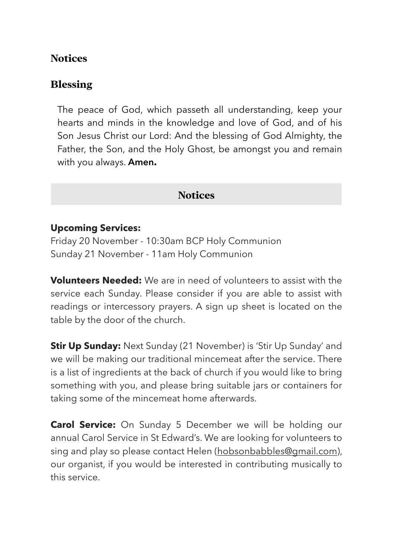## **Notices**

## **Blessing**

The peace of God, which passeth all understanding, keep your hearts and minds in the knowledge and love of God, and of his Son Jesus Christ our Lord: And the blessing of God Almighty, the Father, the Son, and the Holy Ghost, be amongst you and remain with you always. **Amen.**

## **Notices**

#### **Upcoming Services:**

Friday 20 November - 10:30am BCP Holy Communion Sunday 21 November - 11am Holy Communion

**Volunteers Needed:** We are in need of volunteers to assist with the service each Sunday. Please consider if you are able to assist with readings or intercessory prayers. A sign up sheet is located on the table by the door of the church.

**Stir Up Sunday:** Next Sunday (21 November) is 'Stir Up Sunday' and we will be making our traditional mincemeat after the service. There is a list of ingredients at the back of church if you would like to bring something with you, and please bring suitable jars or containers for taking some of the mincemeat home afterwards.

**Carol Service:** On Sunday 5 December we will be holding our annual Carol Service in St Edward's. We are looking for volunteers to sing and play so please contact Helen (hobsonbabbles@gmail.com), our organist, if you would be interested in contributing musically to this service.